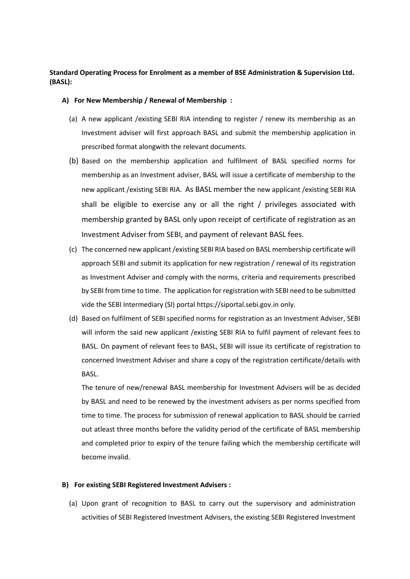# **Standard Operating Process for Enrolment as a member of BSE Administration & Supervision Ltd. (BASL):**

## **A) For New Membership / Renewal of Membership :**

- (a) A new applicant /existing SEBI RIA intending to register / renew its membership as an Investment adviser will first approach BASL and submit the membership application in prescribed format alongwith the relevant documents.
- (b) Based on the membership application and fulfilment of BASL specified norms for membership as an Investment adviser, BASL will issue a certificate of membership to the new applicant /existing SEBI RIA. As BASL member the new applicant /existing SEBI RIA shall be eligible to exercise any or all the right / privileges associated with membership granted by BASL only upon receipt of certificate of registration as an Investment Adviser from SEBI, and payment of relevant BASL fees.
- (c) The concerned new applicant /existing SEBI RIA based on BASL membership certificate will approach SEBI and submit its application for new registration / renewal of its registration as Investment Adviser and comply with the norms, criteria and requirements prescribed by SEBI from time to time. The application for registration with SEBI need to be submitted vide the SEBI Intermediary (SI) portal [https://siportal.sebi.gov.in](https://ind01.safelinks.protection.outlook.com/?url=https%3A%2F%2Fsiportal.sebi.gov.in%2F&data=04%7C01%7Csurendra.rashinkar%40bseasl.com%7Cdf93be5012ce41619e3908d92b1d406f%7C673d78df71354df68573dba39180888d%7C0%7C0%7C637588226927913105%7CUnknown%7CTWFpbGZsb3d8eyJWIjoiMC4wLjAwMDAiLCJQIjoiV2luMzIiLCJBTiI6Ik1haWwiLCJXVCI6Mn0%3D%7C1000&sdata=WJgJBz1xC3Zm9vMgAKfJUog2Sh0SKYdcfe3%2Bi6M7px8%3D&reserved=0) only.
- (d) Based on fulfilment of SEBI specified norms for registration as an Investment Adviser, SEBI will inform the said new applicant /existing SEBI RIA to fulfil payment of relevant fees to BASL. On payment of relevant fees to BASL, SEBI will issue its certificate of registration to concerned Investment Adviser and share a copy of the registration certificate/details with BASL.

The tenure of new/renewal BASL membership for Investment Advisers will be as decided by BASL and need to be renewed by the investment advisers as per norms specified from time to time. The process for submission of renewal application to BASL should be carried out atleast three months before the validity period of the certificate of BASL membership and completed prior to expiry of the tenure failing which the membership certificate will become invalid.

## **B) For existing SEBI Registered Investment Advisers :**

(a) Upon grant of recognition to BASL to carry out the supervisory and administration activities of SEBI Registered Investment Advisers, the existing SEBI Registered Investment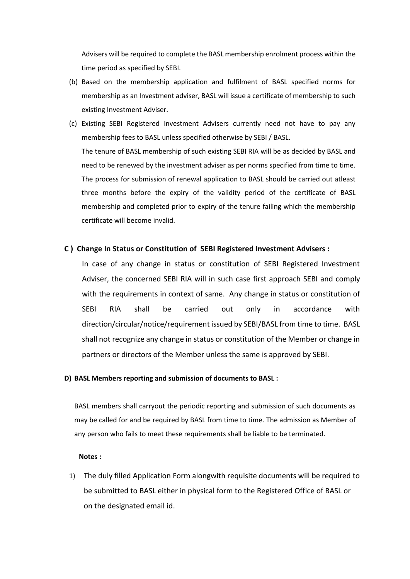Advisers will be required to complete the BASL membership enrolment process within the time period as specified by SEBI.

- (b) Based on the membership application and fulfilment of BASL specified norms for membership as an Investment adviser, BASL will issue a certificate of membership to such existing Investment Adviser.
- (c) Existing SEBI Registered Investment Advisers currently need not have to pay any membership fees to BASL unless specified otherwise by SEBI / BASL. The tenure of BASL membership of such existing SEBI RIA will be as decided by BASL and need to be renewed by the investment adviser as per norms specified from time to time. The process for submission of renewal application to BASL should be carried out atleast three months before the expiry of the validity period of the certificate of BASL membership and completed prior to expiry of the tenure failing which the membership certificate will become invalid.

# **C ) Change In Status or Constitution of SEBI Registered Investment Advisers :**

In case of any change in status or constitution of SEBI Registered Investment Adviser, the concerned SEBI RIA will in such case first approach SEBI and comply with the requirements in context of same. Any change in status or constitution of SEBI RIA shall be carried out only in accordance with direction/circular/notice/requirement issued by SEBI/BASL from time to time. BASL shall not recognize any change in status or constitution of the Member or change in partners or directors of the Member unless the same is approved by SEBI.

#### **D) BASL Members reporting and submission of documents to BASL :**

BASL members shall carryout the periodic reporting and submission of such documents as may be called for and be required by BASL from time to time. The admission as Member of any person who fails to meet these requirements shall be liable to be terminated.

#### **Notes :**

1) The duly filled Application Form alongwith requisite documents will be required to be submitted to BASL either in physical form to the Registered Office of BASL or on the designated email id.